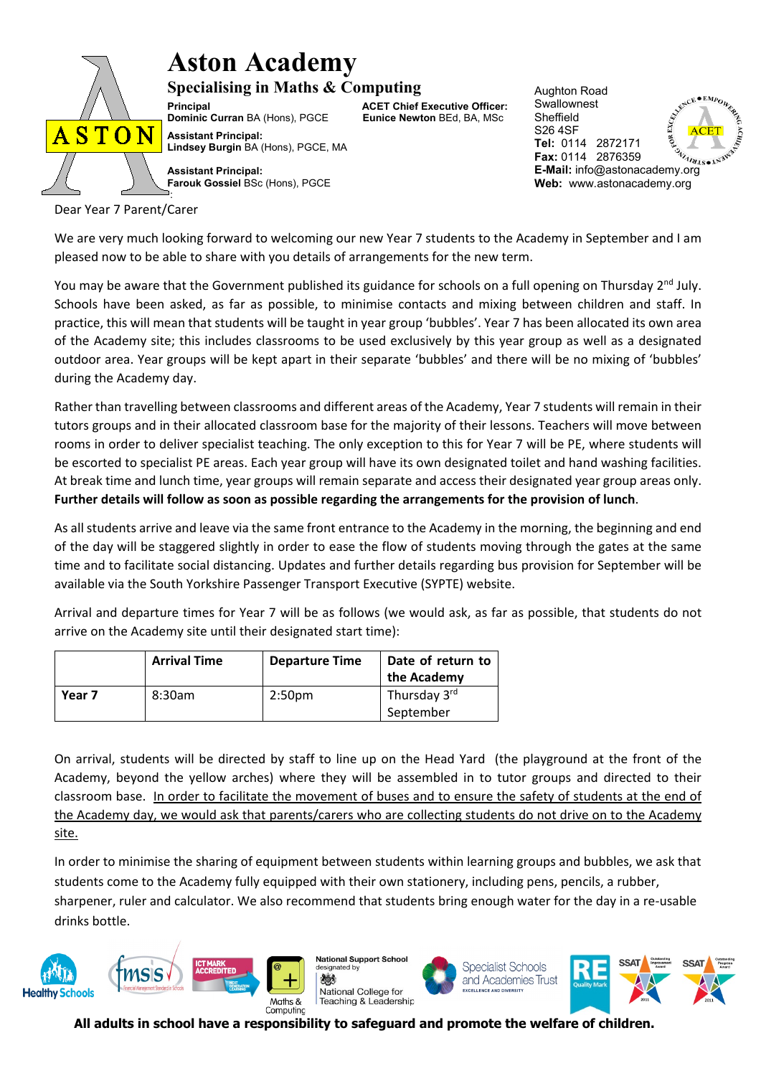

## **Aston Academy**

**Specialising in Maths & Computing Principal Catabook Concept Constrainer Concept ACET Chief Executive Officer:**<br> **Dominic Curran** BA (Hons), PGCE Eunice Newton BEd, BA, MSc **Dominic Curran BA (Hons), PGCE** 

ACET ACET Aughton Road **Swallownest** Sheffield S26 4SF **Tel:** 0114 2872171 **Fax:** 0114 2876359<br>**E-Mail:** info@astonacademy.org **Fax:** 0114 2876359 **Web:** www.astonacademy.org

**Assistant Principal: Farouk Gossiel** BSc (Hons), PGCE :

Dear Year 7 Parent/Carer

We are very much looking forward to welcoming our new Year 7 students to the Academy in September and I am pleased now to be able to share with you details of arrangements for the new term.

You may be aware that the Government published its guidance for schools on a full opening on Thursday 2<sup>nd</sup> July. Schools have been asked, as far as possible, to minimise contacts and mixing between children and staff. In practice, this will mean that students will be taught in year group 'bubbles'. Year 7 has been allocated its own area of the Academy site; this includes classrooms to be used exclusively by this year group as well as a designated outdoor area. Year groups will be kept apart in their separate 'bubbles' and there will be no mixing of 'bubbles' during the Academy day.

Rather than travelling between classrooms and different areas of the Academy, Year 7 students will remain in their tutors groups and in their allocated classroom base for the majority of their lessons. Teachers will move between rooms in order to deliver specialist teaching. The only exception to this for Year 7 will be PE, where students will be escorted to specialist PE areas. Each year group will have its own designated toilet and hand washing facilities. At break time and lunch time, year groups will remain separate and access their designated year group areas only. **Further details will follow as soon as possible regarding the arrangements for the provision of lunch**.

As all students arrive and leave via the same front entrance to the Academy in the morning, the beginning and end of the day will be staggered slightly in order to ease the flow of students moving through the gates at the same time and to facilitate social distancing. Updates and further details regarding bus provision for September will be available via the South Yorkshire Passenger Transport Executive (SYPTE) website.

Arrival and departure times for Year 7 will be as follows (we would ask, as far as possible, that students do not arrive on the Academy site until their designated start time):

|        | <b>Arrival Time</b> | <b>Departure Time</b> | Date of return to        |
|--------|---------------------|-----------------------|--------------------------|
|        |                     |                       | the Academy              |
| Year 7 | 8:30am              | 2:50 <sub>pm</sub>    | Thursday 3 <sup>rd</sup> |
|        |                     |                       | September                |

On arrival, students will be directed by staff to line up on the Head Yard (the playground at the front of the Academy, beyond the yellow arches) where they will be assembled in to tutor groups and directed to their classroom base. In order to facilitate the movement of buses and to ensure the safety of students at the end of the Academy day, we would ask that parents/carers who are collecting students do not drive on to the Academy site.

In order to minimise the sharing of equipment between students within learning groups and bubbles, we ask that students come to the Academy fully equipped with their own stationery, including pens, pencils, a rubber, sharpener, ruler and calculator. We also recommend that students bring enough water for the day in a re-usable drinks bottle.



**National Support School** ated by 機 National College for Teaching & Leadership





**All adults in school have a responsibility to safeguard and promote the welfare of children.**